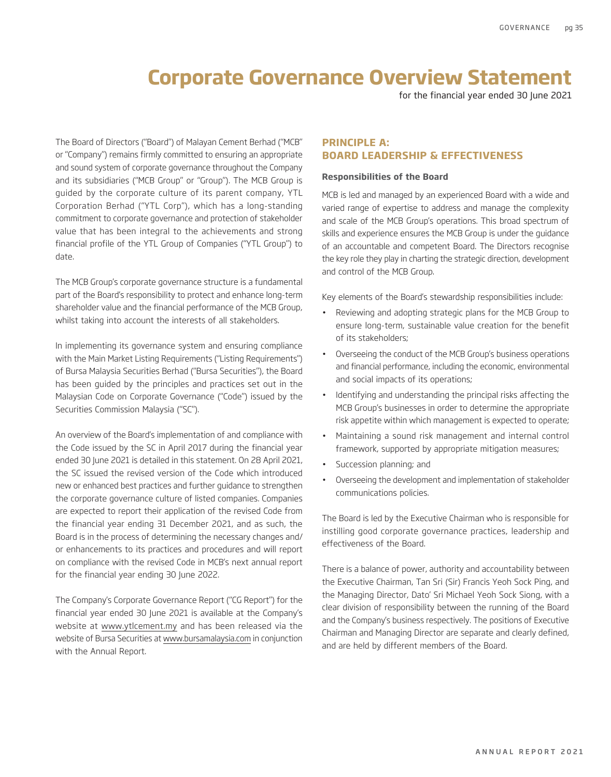for the financial year ended 30 June 2021

The Board of Directors ("Board") of Malayan Cement Berhad ("MCB" or "Company") remains firmly committed to ensuring an appropriate and sound system of corporate governance throughout the Company and its subsidiaries ("MCB Group" or "Group"). The MCB Group is guided by the corporate culture of its parent company, YTL Corporation Berhad ("YTL Corp"), which has a long-standing commitment to corporate governance and protection of stakeholder value that has been integral to the achievements and strong financial profile of the YTL Group of Companies ("YTL Group") to date.

The MCB Group's corporate governance structure is a fundamental part of the Board's responsibility to protect and enhance long-term shareholder value and the financial performance of the MCB Group, whilst taking into account the interests of all stakeholders.

In implementing its governance system and ensuring compliance with the Main Market Listing Requirements ("Listing Requirements") of Bursa Malaysia Securities Berhad ("Bursa Securities"), the Board has been guided by the principles and practices set out in the Malaysian Code on Corporate Governance ("Code") issued by the Securities Commission Malaysia ("SC").

An overview of the Board's implementation of and compliance with the Code issued by the SC in April 2017 during the financial year ended 30 June 2021 is detailed in this statement. On 28 April 2021, the SC issued the revised version of the Code which introduced new or enhanced best practices and further guidance to strengthen the corporate governance culture of listed companies. Companies are expected to report their application of the revised Code from the financial year ending 31 December 2021, and as such, the Board is in the process of determining the necessary changes and/ or enhancements to its practices and procedures and will report on compliance with the revised Code in MCB's next annual report for the financial year ending 30 June 2022.

The Company's Corporate Governance Report ("CG Report") for the financial year ended 30 June 2021 is available at the Company's website at www.ytlcement.my and has been released via the website of Bursa Securities at www.bursamalaysia.com in conjunction with the Annual Report.

### **PRINCIPLE A: BOARD LEADERSHIP & EFFECTIVENESS**

#### **Responsibilities of the Board**

MCB is led and managed by an experienced Board with a wide and varied range of expertise to address and manage the complexity and scale of the MCB Group's operations. This broad spectrum of skills and experience ensures the MCB Group is under the guidance of an accountable and competent Board. The Directors recognise the key role they play in charting the strategic direction, development and control of the MCB Group.

Key elements of the Board's stewardship responsibilities include:

- Reviewing and adopting strategic plans for the MCB Group to ensure long-term, sustainable value creation for the benefit of its stakeholders;
- Overseeing the conduct of the MCB Group's business operations and financial performance, including the economic, environmental and social impacts of its operations;
- Identifying and understanding the principal risks affecting the MCB Group's businesses in order to determine the appropriate risk appetite within which management is expected to operate;
- Maintaining a sound risk management and internal control framework, supported by appropriate mitigation measures;
- Succession planning; and
- Overseeing the development and implementation of stakeholder communications policies.

The Board is led by the Executive Chairman who is responsible for instilling good corporate governance practices, leadership and effectiveness of the Board.

There is a balance of power, authority and accountability between the Executive Chairman, Tan Sri (Sir) Francis Yeoh Sock Ping, and the Managing Director, Dato' Sri Michael Yeoh Sock Siong, with a clear division of responsibility between the running of the Board and the Company's business respectively. The positions of Executive Chairman and Managing Director are separate and clearly defined, and are held by different members of the Board.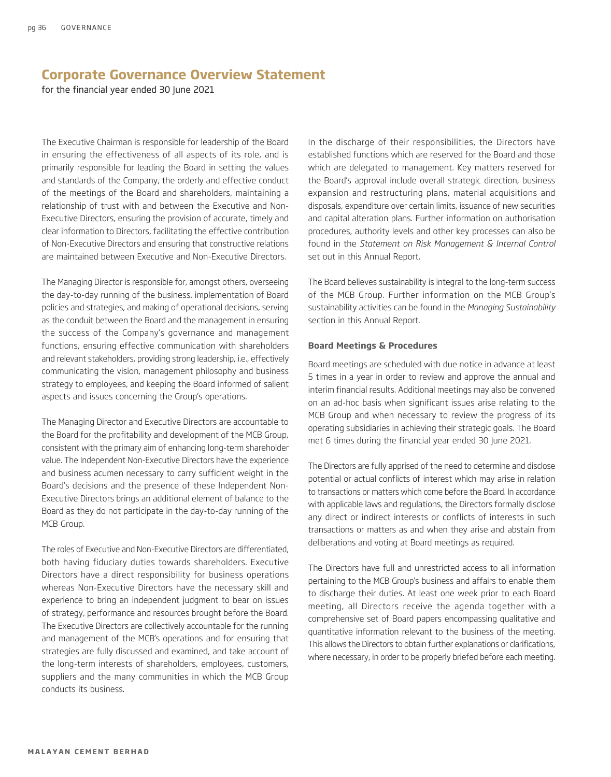for the financial year ended 30 June 2021

The Executive Chairman is responsible for leadership of the Board in ensuring the effectiveness of all aspects of its role, and is primarily responsible for leading the Board in setting the values and standards of the Company, the orderly and effective conduct of the meetings of the Board and shareholders, maintaining a relationship of trust with and between the Executive and Non-Executive Directors, ensuring the provision of accurate, timely and clear information to Directors, facilitating the effective contribution of Non-Executive Directors and ensuring that constructive relations are maintained between Executive and Non-Executive Directors.

The Managing Director is responsible for, amongst others, overseeing the day-to-day running of the business, implementation of Board policies and strategies, and making of operational decisions, serving as the conduit between the Board and the management in ensuring the success of the Company's governance and management functions, ensuring effective communication with shareholders and relevant stakeholders, providing strong leadership, i.e., effectively communicating the vision, management philosophy and business strategy to employees, and keeping the Board informed of salient aspects and issues concerning the Group's operations.

The Managing Director and Executive Directors are accountable to the Board for the profitability and development of the MCB Group, consistent with the primary aim of enhancing long-term shareholder value. The Independent Non-Executive Directors have the experience and business acumen necessary to carry sufficient weight in the Board's decisions and the presence of these Independent Non-Executive Directors brings an additional element of balance to the Board as they do not participate in the day-to-day running of the MCB Group.

The roles of Executive and Non-Executive Directors are differentiated, both having fiduciary duties towards shareholders. Executive Directors have a direct responsibility for business operations whereas Non-Executive Directors have the necessary skill and experience to bring an independent judgment to bear on issues of strategy, performance and resources brought before the Board. The Executive Directors are collectively accountable for the running and management of the MCB's operations and for ensuring that strategies are fully discussed and examined, and take account of the long-term interests of shareholders, employees, customers, suppliers and the many communities in which the MCB Group conducts its business.

In the discharge of their responsibilities, the Directors have established functions which are reserved for the Board and those which are delegated to management. Key matters reserved for the Board's approval include overall strategic direction, business expansion and restructuring plans, material acquisitions and disposals, expenditure over certain limits, issuance of new securities and capital alteration plans. Further information on authorisation procedures, authority levels and other key processes can also be found in the *Statement on Risk Management & Internal Control*  set out in this Annual Report.

The Board believes sustainability is integral to the long-term success of the MCB Group. Further information on the MCB Group's sustainability activities can be found in the *Managing Sustainability*  section in this Annual Report.

#### **Board Meetings & Procedures**

Board meetings are scheduled with due notice in advance at least 5 times in a year in order to review and approve the annual and interim financial results. Additional meetings may also be convened on an ad-hoc basis when significant issues arise relating to the MCB Group and when necessary to review the progress of its operating subsidiaries in achieving their strategic goals. The Board met 6 times during the financial year ended 30 June 2021.

The Directors are fully apprised of the need to determine and disclose potential or actual conflicts of interest which may arise in relation to transactions or matters which come before the Board. In accordance with applicable laws and regulations, the Directors formally disclose any direct or indirect interests or conflicts of interests in such transactions or matters as and when they arise and abstain from deliberations and voting at Board meetings as required.

The Directors have full and unrestricted access to all information pertaining to the MCB Group's business and affairs to enable them to discharge their duties. At least one week prior to each Board meeting, all Directors receive the agenda together with a comprehensive set of Board papers encompassing qualitative and quantitative information relevant to the business of the meeting. This allows the Directors to obtain further explanations or clarifications, where necessary, in order to be properly briefed before each meeting.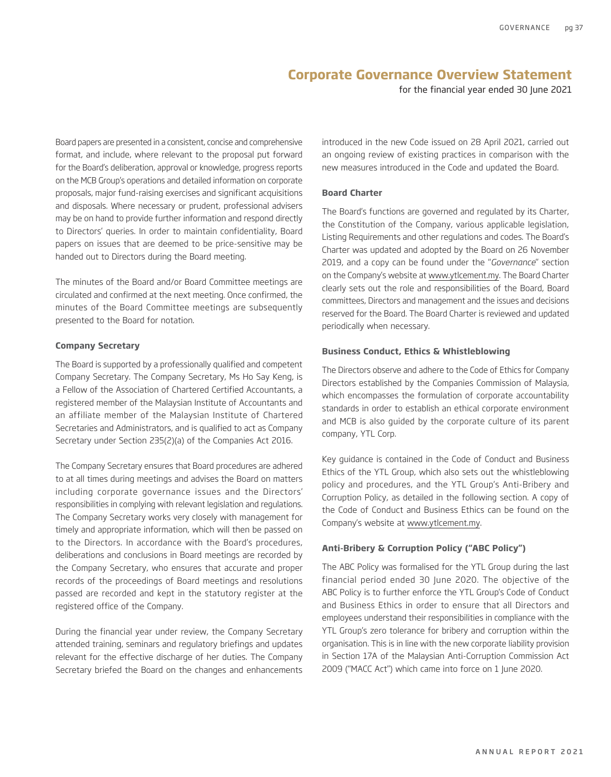for the financial year ended 30 June 2021

Board papers are presented in a consistent, concise and comprehensive format, and include, where relevant to the proposal put forward for the Board's deliberation, approval or knowledge, progress reports on the MCB Group's operations and detailed information on corporate proposals, major fund-raising exercises and significant acquisitions and disposals. Where necessary or prudent, professional advisers may be on hand to provide further information and respond directly to Directors' queries. In order to maintain confidentiality, Board papers on issues that are deemed to be price-sensitive may be handed out to Directors during the Board meeting.

The minutes of the Board and/or Board Committee meetings are circulated and confirmed at the next meeting. Once confirmed, the minutes of the Board Committee meetings are subsequently presented to the Board for notation.

#### **Company Secretary**

The Board is supported by a professionally qualified and competent Company Secretary. The Company Secretary, Ms Ho Say Keng, is a Fellow of the Association of Chartered Certified Accountants, a registered member of the Malaysian Institute of Accountants and an affiliate member of the Malaysian Institute of Chartered Secretaries and Administrators, and is qualified to act as Company Secretary under Section 235(2)(a) of the Companies Act 2016.

The Company Secretary ensures that Board procedures are adhered to at all times during meetings and advises the Board on matters including corporate governance issues and the Directors' responsibilities in complying with relevant legislation and regulations. The Company Secretary works very closely with management for timely and appropriate information, which will then be passed on to the Directors. In accordance with the Board's procedures, deliberations and conclusions in Board meetings are recorded by the Company Secretary, who ensures that accurate and proper records of the proceedings of Board meetings and resolutions passed are recorded and kept in the statutory register at the registered office of the Company.

During the financial year under review, the Company Secretary attended training, seminars and regulatory briefings and updates relevant for the effective discharge of her duties. The Company Secretary briefed the Board on the changes and enhancements

introduced in the new Code issued on 28 April 2021, carried out an ongoing review of existing practices in comparison with the new measures introduced in the Code and updated the Board.

### **Board Charter**

The Board's functions are governed and regulated by its Charter, the Constitution of the Company, various applicable legislation, Listing Requirements and other regulations and codes. The Board's Charter was updated and adopted by the Board on 26 November 2019, and a copy can be found under the "*Governance*" section on the Company's website at www.ytlcement.my. The Board Charter clearly sets out the role and responsibilities of the Board, Board committees, Directors and management and the issues and decisions reserved for the Board. The Board Charter is reviewed and updated periodically when necessary.

#### **Business Conduct, Ethics & Whistleblowing**

The Directors observe and adhere to the Code of Ethics for Company Directors established by the Companies Commission of Malaysia, which encompasses the formulation of corporate accountability standards in order to establish an ethical corporate environment and MCB is also guided by the corporate culture of its parent company, YTL Corp.

Key guidance is contained in the Code of Conduct and Business Ethics of the YTL Group, which also sets out the whistleblowing policy and procedures, and the YTL Group's Anti-Bribery and Corruption Policy, as detailed in the following section. A copy of the Code of Conduct and Business Ethics can be found on the Company's website at www.ytlcement.my.

#### **Anti-Bribery & Corruption Policy ("ABC Policy")**

The ABC Policy was formalised for the YTL Group during the last financial period ended 30 June 2020. The objective of the ABC Policy is to further enforce the YTL Group's Code of Conduct and Business Ethics in order to ensure that all Directors and employees understand their responsibilities in compliance with the YTL Group's zero tolerance for bribery and corruption within the organisation. This is in line with the new corporate liability provision in Section 17A of the Malaysian Anti-Corruption Commission Act 2009 ("MACC Act") which came into force on 1 June 2020.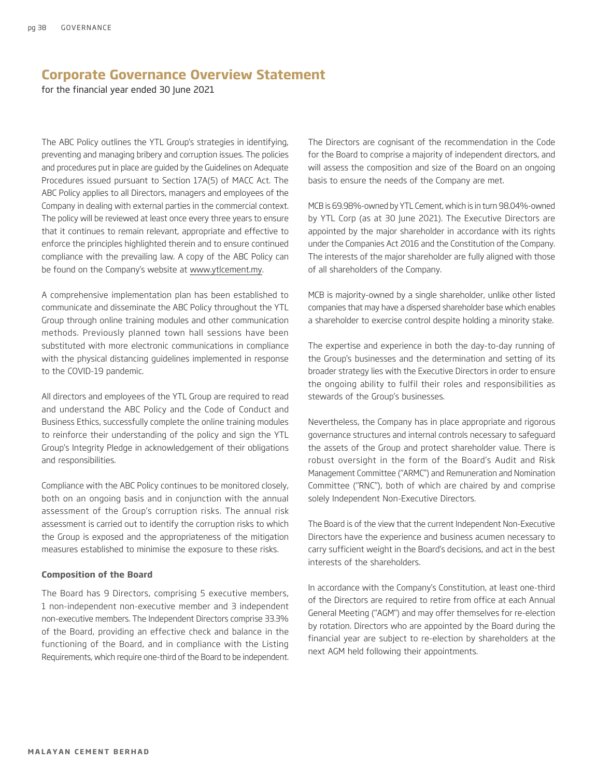for the financial year ended 30 June 2021

The ABC Policy outlines the YTL Group's strategies in identifying, preventing and managing bribery and corruption issues. The policies and procedures put in place are guided by the Guidelines on Adequate Procedures issued pursuant to Section 17A(5) of MACC Act. The ABC Policy applies to all Directors, managers and employees of the Company in dealing with external parties in the commercial context. The policy will be reviewed at least once every three years to ensure that it continues to remain relevant, appropriate and effective to enforce the principles highlighted therein and to ensure continued compliance with the prevailing law. A copy of the ABC Policy can be found on the Company's website at www.ytlcement.my.

A comprehensive implementation plan has been established to communicate and disseminate the ABC Policy throughout the YTL Group through online training modules and other communication methods. Previously planned town hall sessions have been substituted with more electronic communications in compliance with the physical distancing guidelines implemented in response to the COVID-19 pandemic.

All directors and employees of the YTL Group are required to read and understand the ABC Policy and the Code of Conduct and Business Ethics, successfully complete the online training modules to reinforce their understanding of the policy and sign the YTL Group's Integrity Pledge in acknowledgement of their obligations and responsibilities.

Compliance with the ABC Policy continues to be monitored closely, both on an ongoing basis and in conjunction with the annual assessment of the Group's corruption risks. The annual risk assessment is carried out to identify the corruption risks to which the Group is exposed and the appropriateness of the mitigation measures established to minimise the exposure to these risks.

#### **Composition of the Board**

The Board has 9 Directors, comprising 5 executive members, 1 non-independent non-executive member and 3 independent non-executive members. The Independent Directors comprise 33.3% of the Board, providing an effective check and balance in the functioning of the Board, and in compliance with the Listing Requirements, which require one-third of the Board to be independent.

The Directors are cognisant of the recommendation in the Code for the Board to comprise a majority of independent directors, and will assess the composition and size of the Board on an ongoing basis to ensure the needs of the Company are met.

MCB is 69.98%-owned by YTL Cement, which is in turn 98.04%-owned by YTL Corp (as at 30 June 2021). The Executive Directors are appointed by the major shareholder in accordance with its rights under the Companies Act 2016 and the Constitution of the Company. The interests of the major shareholder are fully aligned with those of all shareholders of the Company.

MCB is majority-owned by a single shareholder, unlike other listed companies that may have a dispersed shareholder base which enables a shareholder to exercise control despite holding a minority stake.

The expertise and experience in both the day-to-day running of the Group's businesses and the determination and setting of its broader strategy lies with the Executive Directors in order to ensure the ongoing ability to fulfil their roles and responsibilities as stewards of the Group's businesses.

Nevertheless, the Company has in place appropriate and rigorous governance structures and internal controls necessary to safeguard the assets of the Group and protect shareholder value. There is robust oversight in the form of the Board's Audit and Risk Management Committee ("ARMC") and Remuneration and Nomination Committee ("RNC"), both of which are chaired by and comprise solely Independent Non-Executive Directors.

The Board is of the view that the current Independent Non-Executive Directors have the experience and business acumen necessary to carry sufficient weight in the Board's decisions, and act in the best interests of the shareholders.

In accordance with the Company's Constitution, at least one-third of the Directors are required to retire from office at each Annual General Meeting ("AGM") and may offer themselves for re-election by rotation. Directors who are appointed by the Board during the financial year are subject to re-election by shareholders at the next AGM held following their appointments.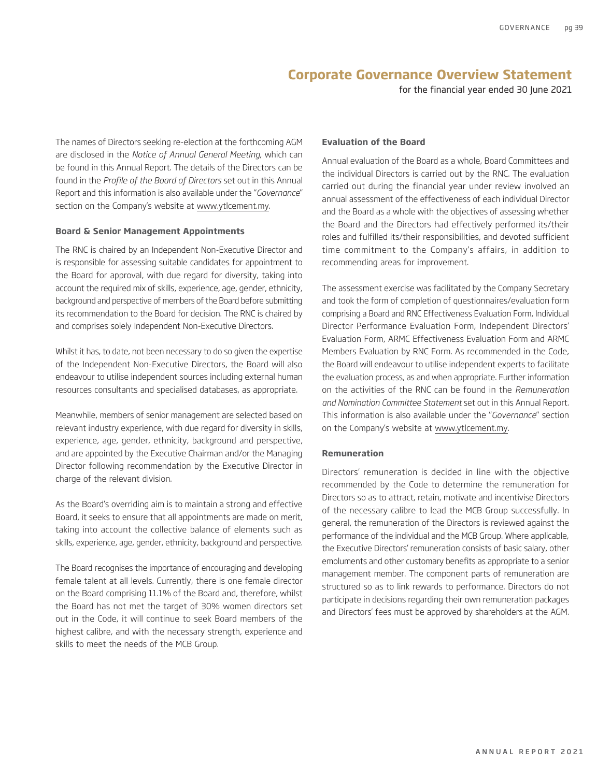for the financial year ended 30 June 2021

The names of Directors seeking re-election at the forthcoming AGM are disclosed in the *Notice of Annual General Meeting*, which can be found in this Annual Report. The details of the Directors can be found in the *Profile of the Board of Directors* set out in this Annual Report and this information is also available under the "*Governance*" section on the Company's website at www.ytlcement.my.

#### **Board & Senior Management Appointments**

The RNC is chaired by an Independent Non-Executive Director and is responsible for assessing suitable candidates for appointment to the Board for approval, with due regard for diversity, taking into account the required mix of skills, experience, age, gender, ethnicity, background and perspective of members of the Board before submitting its recommendation to the Board for decision. The RNC is chaired by and comprises solely Independent Non-Executive Directors.

Whilst it has, to date, not been necessary to do so given the expertise of the Independent Non-Executive Directors, the Board will also endeavour to utilise independent sources including external human resources consultants and specialised databases, as appropriate.

Meanwhile, members of senior management are selected based on relevant industry experience, with due regard for diversity in skills, experience, age, gender, ethnicity, background and perspective, and are appointed by the Executive Chairman and/or the Managing Director following recommendation by the Executive Director in charge of the relevant division.

As the Board's overriding aim is to maintain a strong and effective Board, it seeks to ensure that all appointments are made on merit, taking into account the collective balance of elements such as skills, experience, age, gender, ethnicity, background and perspective.

The Board recognises the importance of encouraging and developing female talent at all levels. Currently, there is one female director on the Board comprising 11.1% of the Board and, therefore, whilst the Board has not met the target of 30% women directors set out in the Code, it will continue to seek Board members of the highest calibre, and with the necessary strength, experience and skills to meet the needs of the MCB Group.

#### **Evaluation of the Board**

Annual evaluation of the Board as a whole, Board Committees and the individual Directors is carried out by the RNC. The evaluation carried out during the financial year under review involved an annual assessment of the effectiveness of each individual Director and the Board as a whole with the objectives of assessing whether the Board and the Directors had effectively performed its/their roles and fulfilled its/their responsibilities, and devoted sufficient time commitment to the Company's affairs, in addition to recommending areas for improvement.

The assessment exercise was facilitated by the Company Secretary and took the form of completion of questionnaires/evaluation form comprising a Board and RNC Effectiveness Evaluation Form, Individual Director Performance Evaluation Form, Independent Directors' Evaluation Form, ARMC Effectiveness Evaluation Form and ARMC Members Evaluation by RNC Form. As recommended in the Code, the Board will endeavour to utilise independent experts to facilitate the evaluation process, as and when appropriate. Further information on the activities of the RNC can be found in the *Remuneration and Nomination Committee Statement* set out in this Annual Report. This information is also available under the "*Governance*" section on the Company's website at www.ytlcement.my.

#### **Remuneration**

Directors' remuneration is decided in line with the objective recommended by the Code to determine the remuneration for Directors so as to attract, retain, motivate and incentivise Directors of the necessary calibre to lead the MCB Group successfully. In general, the remuneration of the Directors is reviewed against the performance of the individual and the MCB Group. Where applicable, the Executive Directors' remuneration consists of basic salary, other emoluments and other customary benefits as appropriate to a senior management member. The component parts of remuneration are structured so as to link rewards to performance. Directors do not participate in decisions regarding their own remuneration packages and Directors' fees must be approved by shareholders at the AGM.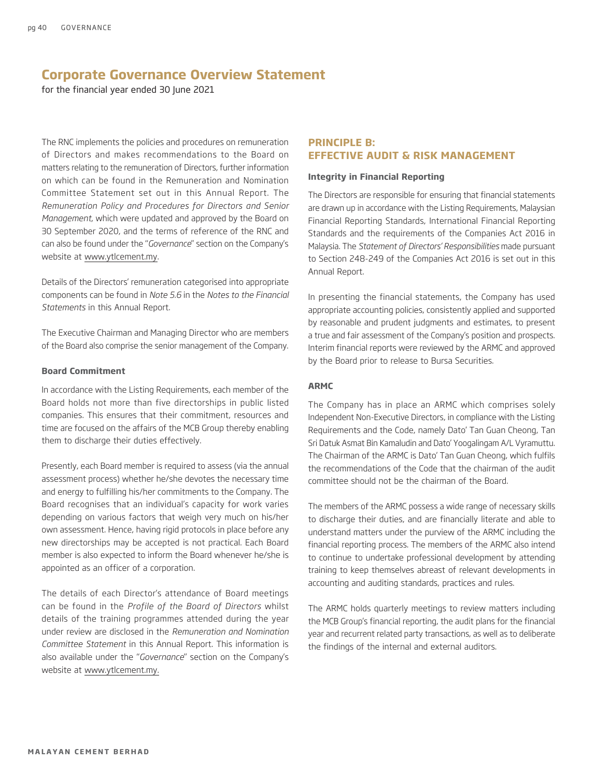for the financial year ended 30 June 2021

The RNC implements the policies and procedures on remuneration of Directors and makes recommendations to the Board on matters relating to the remuneration of Directors, further information on which can be found in the Remuneration and Nomination Committee Statement set out in this Annual Report. The *Remuneration Policy and Procedures for Directors and Senior Management*, which were updated and approved by the Board on 30 September 2020, and the terms of reference of the RNC and can also be found under the "*Governance*" section on the Company's website at www.ytlcement.my.

Details of the Directors' remuneration categorised into appropriate components can be found in *Note 5.6* in the *Notes to the Financial Statements* in this Annual Report.

The Executive Chairman and Managing Director who are members of the Board also comprise the senior management of the Company.

#### **Board Commitment**

In accordance with the Listing Requirements, each member of the Board holds not more than five directorships in public listed companies. This ensures that their commitment, resources and time are focused on the affairs of the MCB Group thereby enabling them to discharge their duties effectively.

Presently, each Board member is required to assess (via the annual assessment process) whether he/she devotes the necessary time and energy to fulfilling his/her commitments to the Company. The Board recognises that an individual's capacity for work varies depending on various factors that weigh very much on his/her own assessment. Hence, having rigid protocols in place before any new directorships may be accepted is not practical. Each Board member is also expected to inform the Board whenever he/she is appointed as an officer of a corporation.

The details of each Director's attendance of Board meetings can be found in the *Profile of the Board of Directors* whilst details of the training programmes attended during the year under review are disclosed in the *Remuneration and Nomination Committee Statement* in this Annual Report. This information is also available under the "*Governance*" section on the Company's website at www.ytlcement.my.

### **PRINCIPLE B: EFFECTIVE AUDIT & RISK MANAGEMENT**

#### **Integrity in Financial Reporting**

The Directors are responsible for ensuring that financial statements are drawn up in accordance with the Listing Requirements, Malaysian Financial Reporting Standards, International Financial Reporting Standards and the requirements of the Companies Act 2016 in Malaysia. The *Statement of Directors' Responsibilities* made pursuant to Section 248-249 of the Companies Act 2016 is set out in this Annual Report.

In presenting the financial statements, the Company has used appropriate accounting policies, consistently applied and supported by reasonable and prudent judgments and estimates, to present a true and fair assessment of the Company's position and prospects. Interim financial reports were reviewed by the ARMC and approved by the Board prior to release to Bursa Securities.

#### **ARMC**

The Company has in place an ARMC which comprises solely Independent Non-Executive Directors, in compliance with the Listing Requirements and the Code, namely Dato' Tan Guan Cheong, Tan Sri Datuk Asmat Bin Kamaludin and Dato' Yoogalingam A/L Vyramuttu. The Chairman of the ARMC is Dato' Tan Guan Cheong, which fulfils the recommendations of the Code that the chairman of the audit committee should not be the chairman of the Board.

The members of the ARMC possess a wide range of necessary skills to discharge their duties, and are financially literate and able to understand matters under the purview of the ARMC including the financial reporting process. The members of the ARMC also intend to continue to undertake professional development by attending training to keep themselves abreast of relevant developments in accounting and auditing standards, practices and rules.

The ARMC holds quarterly meetings to review matters including the MCB Group's financial reporting, the audit plans for the financial year and recurrent related party transactions, as well as to deliberate the findings of the internal and external auditors.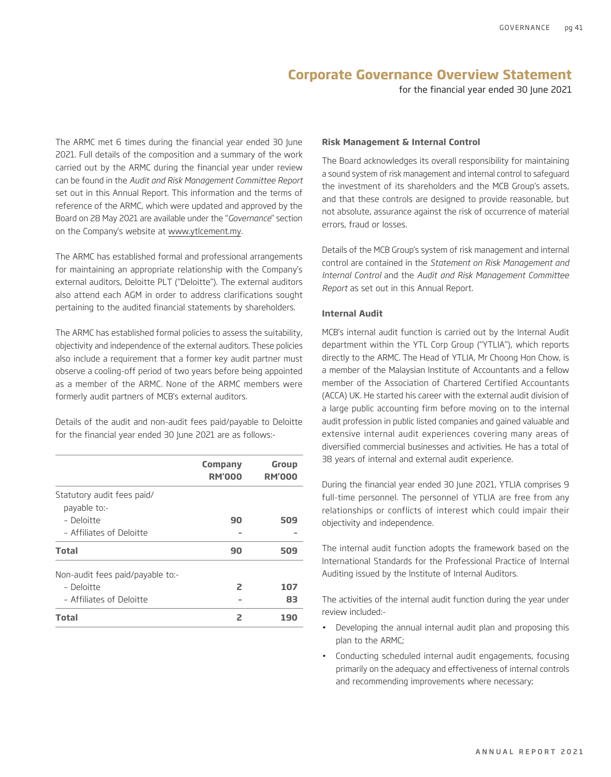for the financial year ended 30 June 2021

The ARMC met 6 times during the financial year ended 30 June 2021. Full details of the composition and a summary of the work carried out by the ARMC during the financial year under review can be found in the *Audit and Risk Management Committee Report*  set out in this Annual Report. This information and the terms of reference of the ARMC, which were updated and approved by the Board on 28 May 2021 are available under the "*Governance*" section on the Company's website at www.ytlcement.my.

The ARMC has established formal and professional arrangements for maintaining an appropriate relationship with the Company's external auditors, Deloitte PLT ("Deloitte"). The external auditors also attend each AGM in order to address clarifications sought pertaining to the audited financial statements by shareholders.

The ARMC has established formal policies to assess the suitability, objectivity and independence of the external auditors. These policies also include a requirement that a former key audit partner must observe a cooling-off period of two years before being appointed as a member of the ARMC. None of the ARMC members were formerly audit partners of MCB's external auditors.

Details of the audit and non-audit fees paid/payable to Deloitte for the financial year ended 30 June 2021 are as follows:-

|                                  | <b>Company</b><br><b>RM'000</b> | <b>Group</b><br><b>RM'000</b> |
|----------------------------------|---------------------------------|-------------------------------|
| Statutory audit fees paid/       |                                 |                               |
| payable to:-                     |                                 |                               |
| - Deloitte                       | 90                              | 509                           |
| - Affiliates of Deloitte         |                                 |                               |
| <b>Total</b>                     | 90                              | 509                           |
| Non-audit fees paid/payable to:- |                                 |                               |
| - Deloitte                       | 2                               | 107                           |
| - Affiliates of Deloitte         |                                 | 83                            |
| <b>Total</b>                     | 2                               | 190                           |

#### **Risk Management & Internal Control**

The Board acknowledges its overall responsibility for maintaining a sound system of risk management and internal control to safeguard the investment of its shareholders and the MCB Group's assets, and that these controls are designed to provide reasonable, but not absolute, assurance against the risk of occurrence of material errors, fraud or losses.

Details of the MCB Group's system of risk management and internal control are contained in the *Statement on Risk Management and Internal Control* and the *Audit and Risk Management Committee Report* as set out in this Annual Report.

#### **Internal Audit**

MCB's internal audit function is carried out by the Internal Audit department within the YTL Corp Group ("YTLIA"), which reports directly to the ARMC. The Head of YTLIA, Mr Choong Hon Chow, is a member of the Malaysian Institute of Accountants and a fellow member of the Association of Chartered Certified Accountants (ACCA) UK. He started his career with the external audit division of a large public accounting firm before moving on to the internal audit profession in public listed companies and gained valuable and extensive internal audit experiences covering many areas of diversified commercial businesses and activities. He has a total of 38 years of internal and external audit experience.

During the financial year ended 30 June 2021, YTLIA comprises 9 full-time personnel. The personnel of YTLIA are free from any relationships or conflicts of interest which could impair their objectivity and independence.

The internal audit function adopts the framework based on the International Standards for the Professional Practice of Internal Auditing issued by the Institute of Internal Auditors.

The activities of the internal audit function during the year under review included:-

- Developing the annual internal audit plan and proposing this plan to the ARMC;
- Conducting scheduled internal audit engagements, focusing primarily on the adequacy and effectiveness of internal controls and recommending improvements where necessary;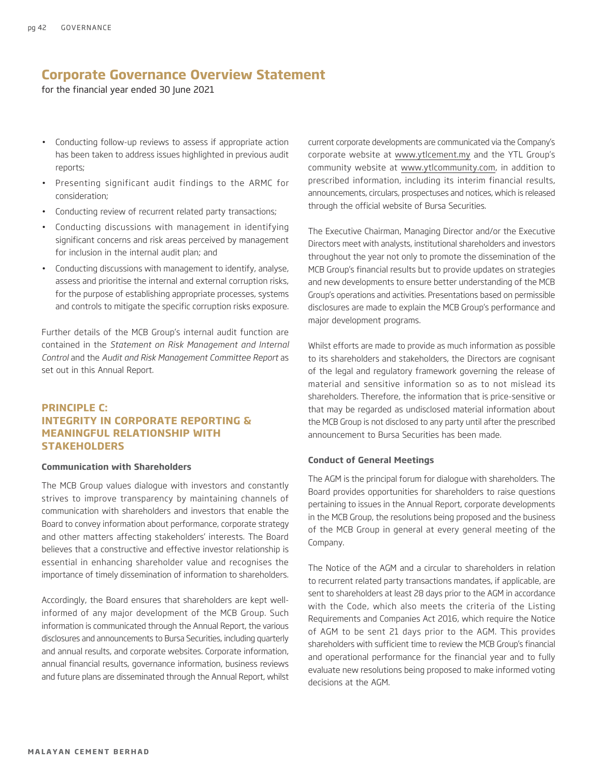for the financial year ended 30 June 2021

- Conducting follow-up reviews to assess if appropriate action has been taken to address issues highlighted in previous audit reports;
- Presenting significant audit findings to the ARMC for consideration;
- Conducting review of recurrent related party transactions;
- Conducting discussions with management in identifying significant concerns and risk areas perceived by management for inclusion in the internal audit plan; and
- Conducting discussions with management to identify, analyse, assess and prioritise the internal and external corruption risks, for the purpose of establishing appropriate processes, systems and controls to mitigate the specific corruption risks exposure.

Further details of the MCB Group's internal audit function are contained in the *Statement on Risk Management and Internal Control* and the *Audit and Risk Management Committee Report* as set out in this Annual Report.

### **PRINCIPLE C: INTEGRITY IN CORPORATE REPORTING & MEANINGFUL RELATIONSHIP WITH STAKEHOLDERS**

#### **Communication with Shareholders**

The MCB Group values dialogue with investors and constantly strives to improve transparency by maintaining channels of communication with shareholders and investors that enable the Board to convey information about performance, corporate strategy and other matters affecting stakeholders' interests. The Board believes that a constructive and effective investor relationship is essential in enhancing shareholder value and recognises the importance of timely dissemination of information to shareholders.

Accordingly, the Board ensures that shareholders are kept wellinformed of any major development of the MCB Group. Such information is communicated through the Annual Report, the various disclosures and announcements to Bursa Securities, including quarterly and annual results, and corporate websites. Corporate information, annual financial results, governance information, business reviews and future plans are disseminated through the Annual Report, whilst current corporate developments are communicated via the Company's corporate website at www.ytlcement.my and the YTL Group's community website at www.ytlcommunity.com, in addition to prescribed information, including its interim financial results, announcements, circulars, prospectuses and notices, which is released through the official website of Bursa Securities.

The Executive Chairman, Managing Director and/or the Executive Directors meet with analysts, institutional shareholders and investors throughout the year not only to promote the dissemination of the MCB Group's financial results but to provide updates on strategies and new developments to ensure better understanding of the MCB Group's operations and activities. Presentations based on permissible disclosures are made to explain the MCB Group's performance and major development programs.

Whilst efforts are made to provide as much information as possible to its shareholders and stakeholders, the Directors are cognisant of the legal and regulatory framework governing the release of material and sensitive information so as to not mislead its shareholders. Therefore, the information that is price-sensitive or that may be regarded as undisclosed material information about the MCB Group is not disclosed to any party until after the prescribed announcement to Bursa Securities has been made.

#### **Conduct of General Meetings**

The AGM is the principal forum for dialogue with shareholders. The Board provides opportunities for shareholders to raise questions pertaining to issues in the Annual Report, corporate developments in the MCB Group, the resolutions being proposed and the business of the MCB Group in general at every general meeting of the Company.

The Notice of the AGM and a circular to shareholders in relation to recurrent related party transactions mandates, if applicable, are sent to shareholders at least 28 days prior to the AGM in accordance with the Code, which also meets the criteria of the Listing Requirements and Companies Act 2016, which require the Notice of AGM to be sent 21 days prior to the AGM. This provides shareholders with sufficient time to review the MCB Group's financial and operational performance for the financial year and to fully evaluate new resolutions being proposed to make informed voting decisions at the AGM.